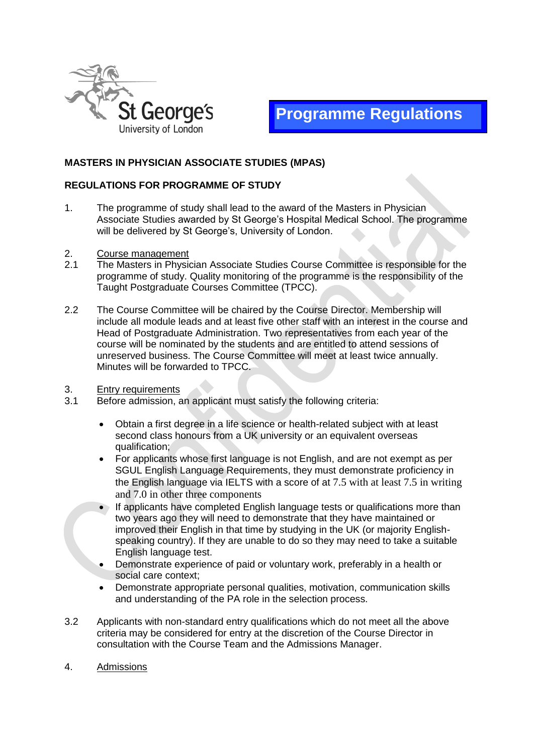



# **MASTERS IN PHYSICIAN ASSOCIATE STUDIES (MPAS)**

## **REGULATIONS FOR PROGRAMME OF STUDY**

- 1. The programme of study shall lead to the award of the Masters in Physician Associate Studies awarded by St George's Hospital Medical School. The programme will be delivered by St George's, University of London.
- 2. Course management
- 2.1 The Masters in Physician Associate Studies Course Committee is responsible for the programme of study. Quality monitoring of the programme is the responsibility of the Taught Postgraduate Courses Committee (TPCC).
- 2.2 The Course Committee will be chaired by the Course Director. Membership will include all module leads and at least five other staff with an interest in the course and Head of Postgraduate Administration. Two representatives from each year of the course will be nominated by the students and are entitled to attend sessions of unreserved business. The Course Committee will meet at least twice annually. Minutes will be forwarded to TPCC.
- 3. Entry requirements
- 3.1 Before admission, an applicant must satisfy the following criteria:
	- Obtain a first degree in a life science or health-related subject with at least second class honours from a UK university or an equivalent overseas qualification;
	- For applicants whose first language is not English, and are not exempt as per SGUL English Language Requirements, they must demonstrate proficiency in the English language via IELTS with a score of at 7.5 with at least 7.5 in writing and 7.0 in other three components
	- If applicants have completed English language tests or qualifications more than two years ago they will need to demonstrate that they have maintained or improved their English in that time by studying in the UK (or majority Englishspeaking country). If they are unable to do so they may need to take a suitable English language test.
	- Demonstrate experience of paid or voluntary work, preferably in a health or social care context;
	- Demonstrate appropriate personal qualities, motivation, communication skills and understanding of the PA role in the selection process.
- 3.2 Applicants with non-standard entry qualifications which do not meet all the above criteria may be considered for entry at the discretion of the Course Director in consultation with the Course Team and the Admissions Manager.
- 4. Admissions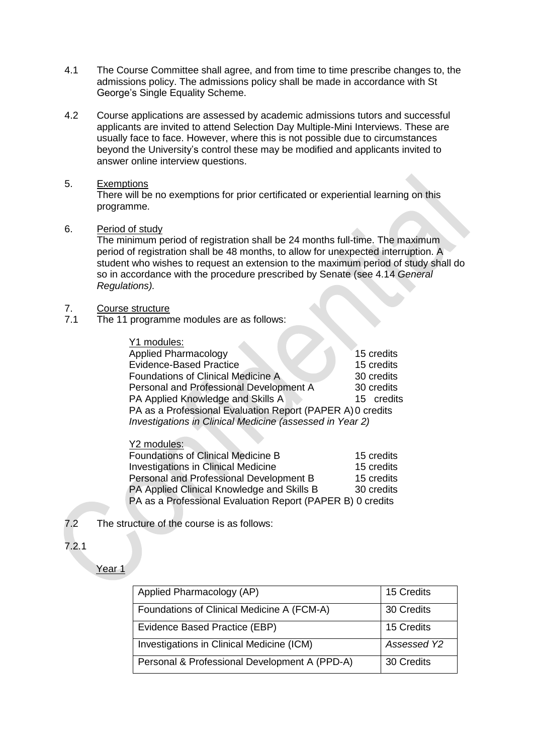- 4.1 The Course Committee shall agree, and from time to time prescribe changes to, the admissions policy. The admissions policy shall be made in accordance with St George's Single Equality Scheme.
- 4.2 Course applications are assessed by academic admissions tutors and successful applicants are invited to attend Selection Day Multiple-Mini Interviews. These are usually face to face. However, where this is not possible due to circumstances beyond the University's control these may be modified and applicants invited to answer online interview questions.
- 5. Exemptions

There will be no exemptions for prior certificated or experiential learning on this programme.

6. Period of study

The minimum period of registration shall be 24 months full-time. The maximum period of registration shall be 48 months, to allow for unexpected interruption. A student who wishes to request an extension to the maximum period of study shall do so in accordance with the procedure prescribed by Senate (see 4.14 *General Regulations).*

- 7. Course structure<br>7.1 The 11 programm
- The 11 programme modules are as follows:

Y1 modules: Applied Pharmacology 15 credits Evidence-Based Practice 2008 15 credits Foundations of Clinical Medicine A 30 credits Personal and Professional Development A 30 credits PA Applied Knowledge and Skills A 15 credits PA as a Professional Evaluation Report (PAPER A)0 credits *Investigations in Clinical Medicine (assessed in Year 2)*

# Y2 modules:

| <b>Foundations of Clinical Medicine B</b>                  | 15 credits |
|------------------------------------------------------------|------------|
| <b>Investigations in Clinical Medicine</b>                 | 15 credits |
| Personal and Professional Development B                    | 15 credits |
| PA Applied Clinical Knowledge and Skills B                 | 30 credits |
| PA as a Professional Evaluation Report (PAPER B) 0 credits |            |

- 7.2 The structure of the course is as follows:
- 7.2.1

Year 1

| Applied Pharmacology (AP)                     | 15 Credits  |
|-----------------------------------------------|-------------|
| Foundations of Clinical Medicine A (FCM-A)    | 30 Credits  |
| Evidence Based Practice (EBP)                 | 15 Credits  |
| Investigations in Clinical Medicine (ICM)     | Assessed Y2 |
| Personal & Professional Development A (PPD-A) | 30 Credits  |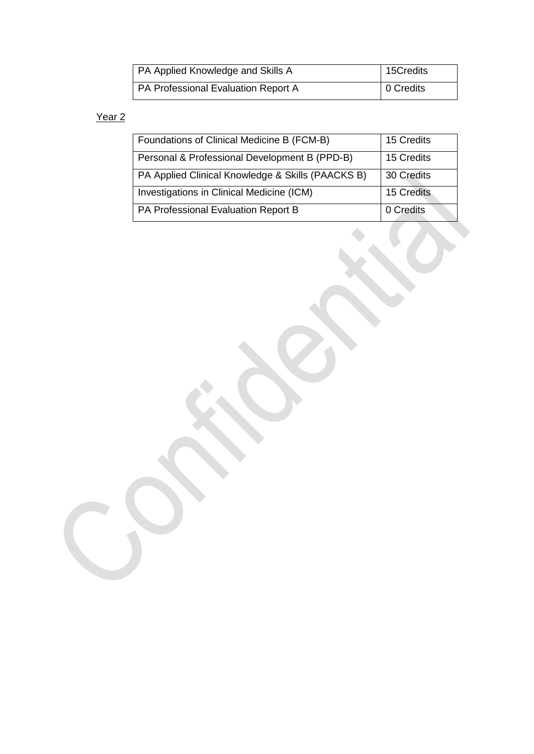| <b>PA Applied Knowledge and Skills A</b> | 15Credits |
|------------------------------------------|-----------|
| PA Professional Evaluation Report A      | 0 Credits |

# Year<sub>2</sub>

| Foundations of Clinical Medicine B (FCM-B)        | 15 Credits |
|---------------------------------------------------|------------|
| Personal & Professional Development B (PPD-B)     | 15 Credits |
| PA Applied Clinical Knowledge & Skills (PAACKS B) | 30 Credits |
| Investigations in Clinical Medicine (ICM)         | 15 Credits |
| PA Professional Evaluation Report B               | 0 Credits  |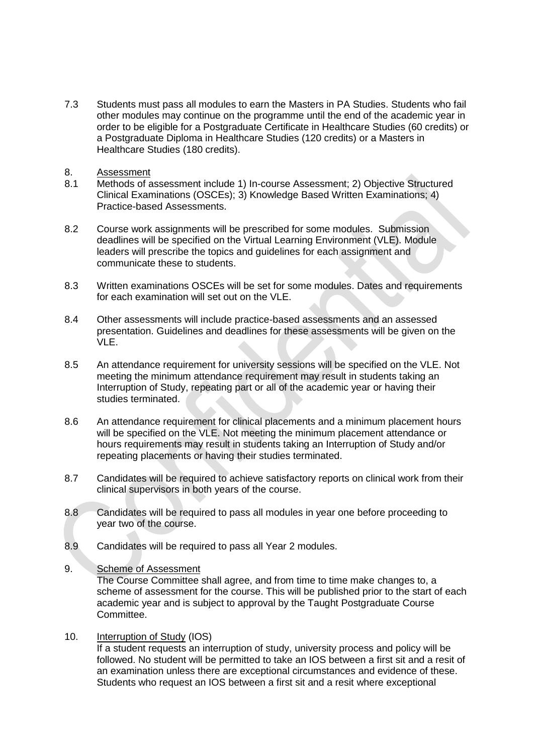- 7.3 Students must pass all modules to earn the Masters in PA Studies. Students who fail other modules may continue on the programme until the end of the academic year in order to be eligible for a Postgraduate Certificate in Healthcare Studies (60 credits) or a Postgraduate Diploma in Healthcare Studies (120 credits) or a Masters in Healthcare Studies (180 credits).
- 8. Assessment
- 8.1 Methods of assessment include 1) In-course Assessment; 2) Objective Structured Clinical Examinations (OSCEs); 3) Knowledge Based Written Examinations; 4) Practice-based Assessments.
- 8.2 Course work assignments will be prescribed for some modules. Submission deadlines will be specified on the Virtual Learning Environment (VLE). Module leaders will prescribe the topics and guidelines for each assignment and communicate these to students.
- 8.3 Written examinations OSCEs will be set for some modules. Dates and requirements for each examination will set out on the VLE.
- 8.4 Other assessments will include practice-based assessments and an assessed presentation. Guidelines and deadlines for these assessments will be given on the VLE.
- 8.5 An attendance requirement for university sessions will be specified on the VLE. Not meeting the minimum attendance requirement may result in students taking an Interruption of Study, repeating part or all of the academic year or having their studies terminated.
- 8.6 An attendance requirement for clinical placements and a minimum placement hours will be specified on the VLE. Not meeting the minimum placement attendance or hours requirements may result in students taking an Interruption of Study and/or repeating placements or having their studies terminated.
- 8.7 Candidates will be required to achieve satisfactory reports on clinical work from their clinical supervisors in both years of the course.
- 8.8 Candidates will be required to pass all modules in year one before proceeding to year two of the course.
- 8.9 Candidates will be required to pass all Year 2 modules.
- 9. Scheme of Assessment

The Course Committee shall agree, and from time to time make changes to, a scheme of assessment for the course. This will be published prior to the start of each academic year and is subject to approval by the Taught Postgraduate Course Committee.

10. Interruption of Study (IOS)

If a student requests an interruption of study, university process and policy will be followed. No student will be permitted to take an IOS between a first sit and a resit of an examination unless there are exceptional circumstances and evidence of these. Students who request an IOS between a first sit and a resit where exceptional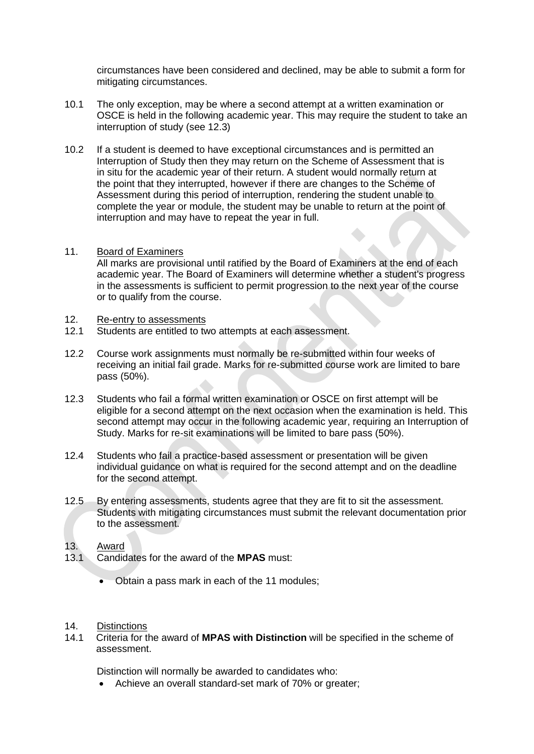circumstances have been considered and declined, may be able to submit a form for mitigating circumstances.

- 10.1 The only exception, may be where a second attempt at a written examination or OSCE is held in the following academic year. This may require the student to take an interruption of study (see 12.3)
- 10.2 If a student is deemed to have exceptional circumstances and is permitted an Interruption of Study then they may return on the Scheme of Assessment that is in situ for the academic year of their return. A student would normally return at the point that they interrupted, however if there are changes to the Scheme of Assessment during this period of interruption, rendering the student unable to complete the year or module, the student may be unable to return at the point of interruption and may have to repeat the year in full.
- 11. Board of Examiners All marks are provisional until ratified by the Board of Examiners at the end of each academic year. The Board of Examiners will determine whether a student's progress in the assessments is sufficient to permit progression to the next year of the course

# 12. Re-entry to assessments<br>12.1 Students are entitled to two

or to qualify from the course.

- Students are entitled to two attempts at each assessment.
- 12.2 Course work assignments must normally be re-submitted within four weeks of receiving an initial fail grade. Marks for re-submitted course work are limited to bare pass (50%).
- 12.3 Students who fail a formal written examination or OSCE on first attempt will be eligible for a second attempt on the next occasion when the examination is held. This second attempt may occur in the following academic year, requiring an Interruption of Study. Marks for re-sit examinations will be limited to bare pass (50%).
- 12.4 Students who fail a practice-based assessment or presentation will be given individual guidance on what is required for the second attempt and on the deadline for the second attempt.
- 12.5 By entering assessments, students agree that they are fit to sit the assessment. Students with mitigating circumstances must submit the relevant documentation prior to the assessment.

# 13. Award

- 13.1 Candidates for the award of the **MPAS** must:
	- Obtain a pass mark in each of the 11 modules;

#### 14. Distinctions

14.1 Criteria for the award of **MPAS with Distinction** will be specified in the scheme of assessment.

Distinction will normally be awarded to candidates who:

• Achieve an overall standard-set mark of 70% or greater;